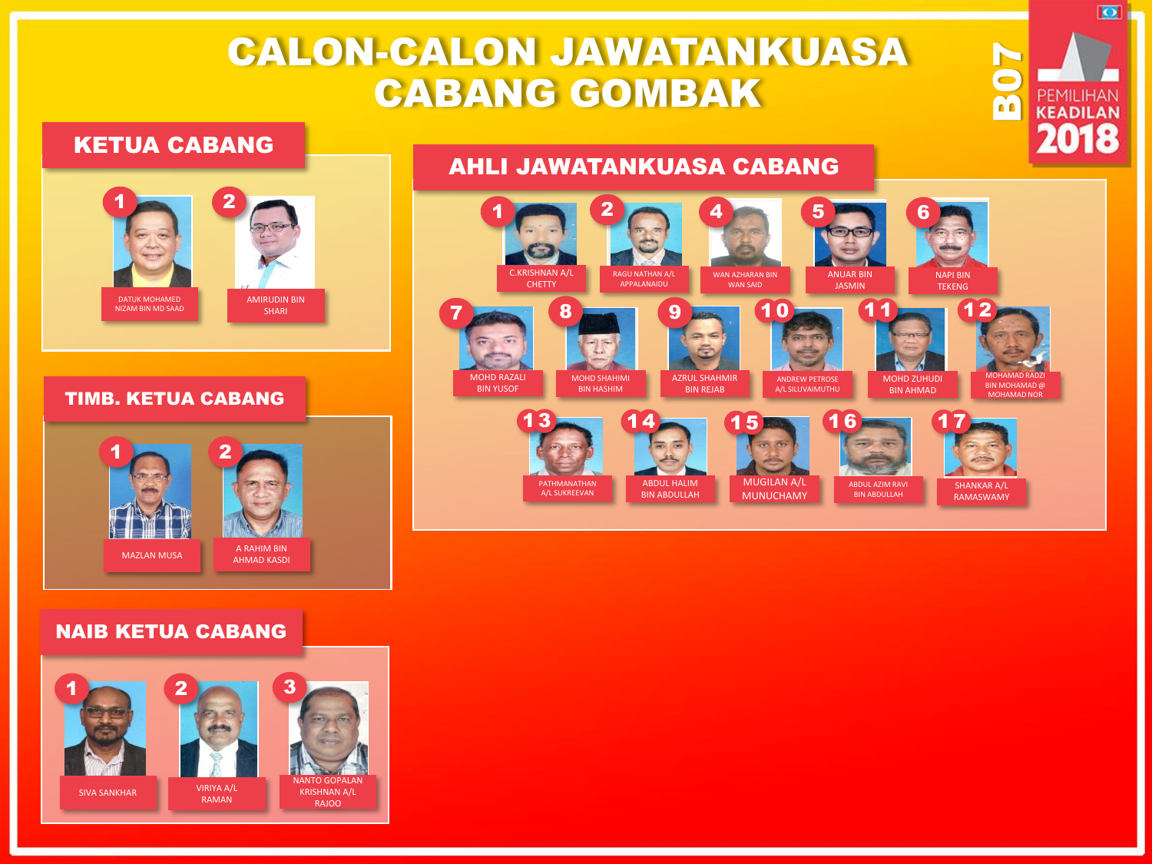# CALON-CALON JAWATANKUASA CABANG GOMBAK

## KETUA CABANG



#### TIMB. KETUA CABANG



### NAIB KETUA CABANG





B07

 $\overline{\bullet}$ 

**PEMILIHAN KEADILAN** 2018

# AHLI JAWATANKUASA CABANG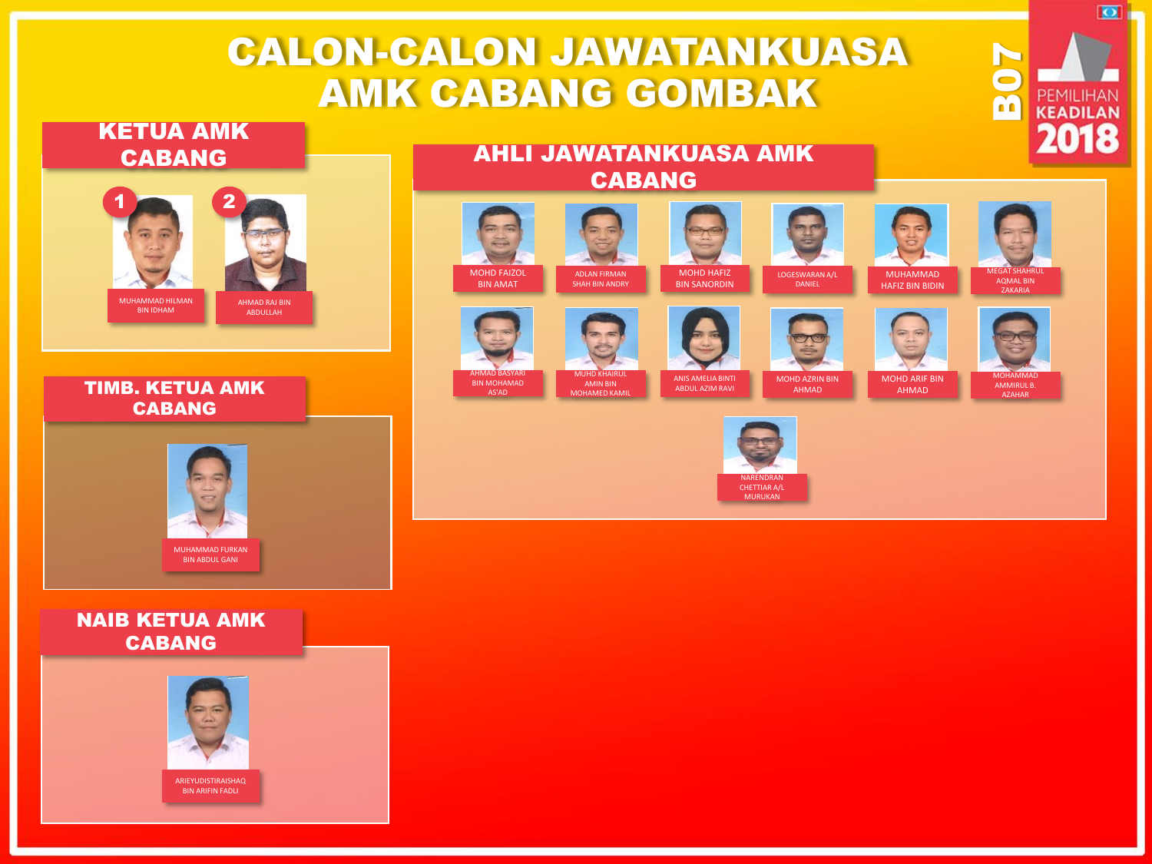# CALON-CALON JAWATANKUASA AMK CABANG GOMBAK

## KETUA AMK CABANG



TIMB. KETUA AMK CABANG



### NAIB KETUA AMK CABANG



AHLI JAWATANKUASA AMK CABANG





ADLAN FIRMAN

SHAH BIN ANDRY

MOHD HAFIZ BIN SANORDIN



MUHAMMAD HAFIZ BIN BIDIN



**703** 

 $\overline{\mathbf{Q}}$  .

**PEMILIHAN** 

2018



MOHAMMAD AMMIRUL B. AZAHAR



MUHD KHAIRUL AMIN BIN MOHAMED KAMIL

ANIS AMELIA BINTI ABDUL AZIM RAVI

NARENDRAN CHETTIAR A/L **MURUKAN** 

MOHD AZRIN BIN AHMAD MOHD ARIF BIN AHMAD